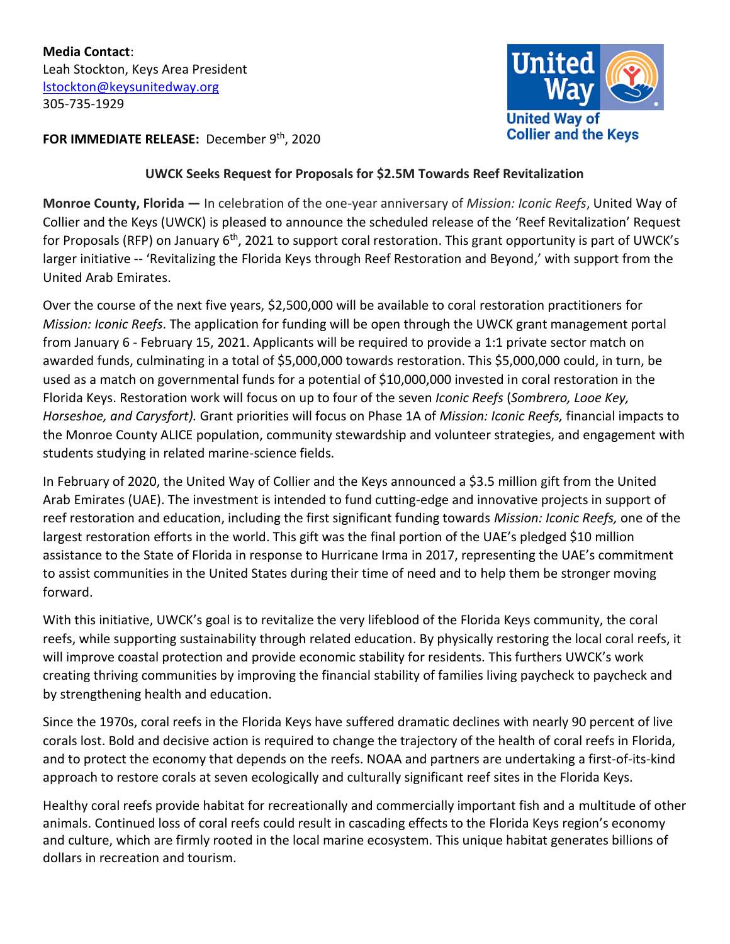

## **FOR IMMEDIATE RELEASE:** December 9 th, 2020

## **UWCK Seeks Request for Proposals for \$2.5M Towards Reef Revitalization**

**Monroe County, Florida —** In celebration of the one-year anniversary of *Mission: Iconic Reefs*, United Way of Collier and the Keys (UWCK) is pleased to announce the scheduled release of the 'Reef Revitalization' Request for Proposals (RFP) on January 6<sup>th</sup>, 2021 to support coral restoration. This grant opportunity is part of UWCK's larger initiative -- 'Revitalizing the Florida Keys through Reef Restoration and Beyond,' with support from the United Arab Emirates.

Over the course of the next five years, \$2,500,000 will be available to coral restoration practitioners for *Mission: Iconic Reefs*. The application for funding will be open through the UWCK grant management portal from January 6 - February 15, 2021. Applicants will be required to provide a 1:1 private sector match on awarded funds, culminating in a total of \$5,000,000 towards restoration. This \$5,000,000 could, in turn, be used as a match on governmental funds for a potential of \$10,000,000 invested in coral restoration in the Florida Keys. Restoration work will focus on up to four of the seven *Iconic Reefs* (*Sombrero, Looe Key, Horseshoe, and Carysfort).* Grant priorities will focus on Phase 1A of *Mission: Iconic Reefs,* financial impacts to the Monroe County ALICE population, community stewardship and volunteer strategies, and engagement with students studying in related marine-science fields.

In February of 2020, the United Way of Collier and the Keys announced a \$3.5 million gift from the United Arab Emirates (UAE). The investment is intended to fund cutting-edge and innovative projects in support of reef restoration and education, including the first significant funding towards *Mission: Iconic Reefs,* one of the largest restoration efforts in the world. This gift was the final portion of the UAE's pledged \$10 million assistance to the State of Florida in response to Hurricane Irma in 2017, representing the UAE's commitment to assist communities in the United States during their time of need and to help them be stronger moving forward.

With this initiative, UWCK's goal is to revitalize the very lifeblood of the Florida Keys community, the coral reefs, while supporting sustainability through related education. By physically restoring the local coral reefs, it will improve coastal protection and provide economic stability for residents. This furthers UWCK's work creating thriving communities by improving the financial stability of families living paycheck to paycheck and by strengthening health and education.

Since the 1970s, coral reefs in the Florida Keys have suffered dramatic declines with nearly 90 percent of live corals lost. Bold and decisive action is required to change the trajectory of the health of coral reefs in Florida, and to protect the economy that depends on the reefs. NOAA and partners are undertaking a first-of-its-kind approach to restore corals at seven ecologically and culturally significant reef sites in the Florida Keys.

Healthy coral reefs provide habitat for recreationally and commercially important fish and a multitude of other animals. Continued loss of coral reefs could result in cascading effects to the Florida Keys region's economy and culture, which are firmly rooted in the local marine ecosystem. This unique habitat generates billions of dollars in recreation and tourism.